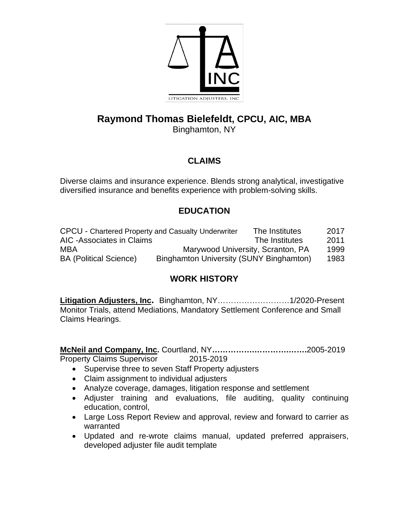

# **Raymond Thomas Bielefeldt, CPCU, AIC, MBA**

Binghamton, NY

## **CLAIMS**

Diverse claims and insurance experience. Blends strong analytical, investigative diversified insurance and benefits experience with problem-solving skills.

## **EDUCATION**

| <b>CPCU - Chartered Property and Casualty Underwriter</b> |                                         | The Institutes | 2017 |
|-----------------------------------------------------------|-----------------------------------------|----------------|------|
| AIC -Associates in Claims                                 |                                         | The Institutes | 2011 |
| MBA                                                       | Marywood University, Scranton, PA       |                | 1999 |
| <b>BA (Political Science)</b>                             | Binghamton University (SUNY Binghamton) |                | 1983 |

## **WORK HISTORY**

**Litigation Adjusters, Inc.** Binghamton, NY………………………1/2020-Present Monitor Trials, attend Mediations, Mandatory Settlement Conference and Small Claims Hearings.

**McNeil and Company, Inc.** Courtland, NY**…………….………….…….**2005-2019 Property Claims Supervisor 2015-2019

- Supervise three to seven Staff Property adjusters
- Claim assignment to individual adjusters
- Analyze coverage, damages, litigation response and settlement
- Adjuster training and evaluations, file auditing, quality continuing education, control,
- Large Loss Report Review and approval, review and forward to carrier as warranted
- Updated and re-wrote claims manual, updated preferred appraisers, developed adjuster file audit template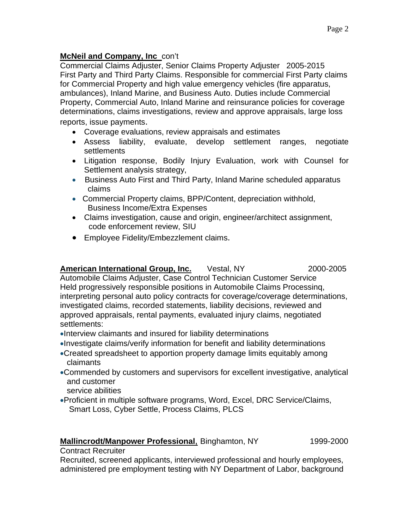### **McNeil and Company, Inc** con't

Commercial Claims Adjuster, Senior Claims Property Adjuster 2005-2015 First Party and Third Party Claims. Responsible for commercial First Party claims for Commercial Property and high value emergency vehicles (fire apparatus, ambulances), Inland Marine, and Business Auto. Duties include Commercial Property, Commercial Auto, Inland Marine and reinsurance policies for coverage determinations, claims investigations, review and approve appraisals, large loss reports, issue payments.

- Coverage evaluations, review appraisals and estimates
- Assess liability, evaluate, develop settlement ranges, negotiate settlements
- Litigation response, Bodily Injury Evaluation, work with Counsel for Settlement analysis strategy,
- Business Auto First and Third Party, Inland Marine scheduled apparatus claims
- Commercial Property claims, BPP/Content, depreciation withhold, Business Income/Extra Expenses
- Claims investigation, cause and origin, engineer/architect assignment, code enforcement review, SIU
- Employee Fidelity/Embezzlement claims.

American International Group, Inc. Vestal, NY 2000-2005 Automobile Claims Adjuster, Case Control Technician Customer Service Held progressively responsible positions in Automobile Claims Processinq, interpreting personal auto policy contracts for coverage/coverage determinations, investigated claims, recorded statements, liability decisions, reviewed and approved appraisals, rental payments, evaluated injury claims, negotiated settlements:

- •Interview claimants and insured for liability determinations
- •Investigate claims/verify information for benefit and liability determinations
- •Created spreadsheet to apportion property damage limits equitably among claimants
- •Commended by customers and supervisors for excellent investigative, analytical and customer
	- service abilities
- •Proficient in multiple software programs, Word, Excel, DRC Service/Claims, Smart Loss, Cyber Settle, Process Claims, PLCS

#### **Mallincrodt/Manpower Professional, Binghamton, NY** 1999-2000

#### Contract Recruiter

Recruited, screened applicants, interviewed professional and hourly employees, administered pre employment testing with NY Department of Labor, background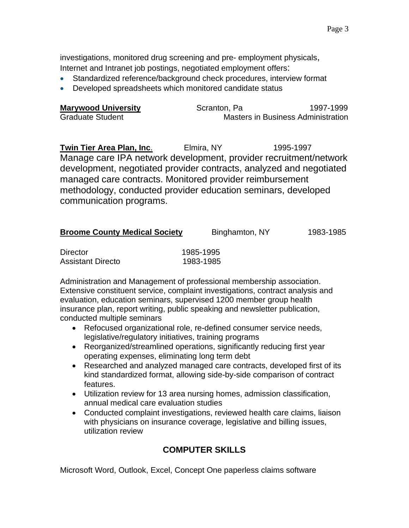investigations, monitored drug screening and pre- employment physicals, Internet and Intranet job postings, negotiated employment offers:

- Standardized reference/background check procedures, interview format
- Developed spreadsheets which monitored candidate status

| <b>Marywood University</b> | Scranton, Pa | 1997-1999                                 |
|----------------------------|--------------|-------------------------------------------|
| <b>Graduate Student</b>    |              | <b>Masters in Business Administration</b> |

**Twin Tier Area Plan, Inc.** Elmira, NY 1995-1997 Manage care IPA network development, provider recruitment/network development, negotiated provider contracts, analyzed and negotiated managed care contracts. Monitored provider reimbursement methodology, conducted provider education seminars, developed communication programs.

| <b>Broome County Medical Society</b><br>1983-1985<br>Binghamton, NY |
|---------------------------------------------------------------------|
|---------------------------------------------------------------------|

| <b>Director</b>   | 1985-1995 |
|-------------------|-----------|
| Assistant Directo | 1983-1985 |

Administration and Management of professional membership association. Extensive constituent service, complaint investigations, contract analysis and evaluation, education seminars, supervised 1200 member group health insurance plan, report writing, public speaking and newsletter publication, conducted multiple seminars

- Refocused organizational role, re-defined consumer service needs, legislative/regulatory initiatives, training programs
- Reorganized/streamlined operations, significantly reducing first year operating expenses, eliminating long term debt
- Researched and analyzed managed care contracts, developed first of its kind standardized format, allowing side-by-side comparison of contract features.
- Utilization review for 13 area nursing homes, admission classification, annual medical care evaluation studies
- Conducted complaint investigations, reviewed health care claims, liaison with physicians on insurance coverage, legislative and billing issues, utilization review

## **COMPUTER SKILLS**

Microsoft Word, Outlook, Excel, Concept One paperless claims software